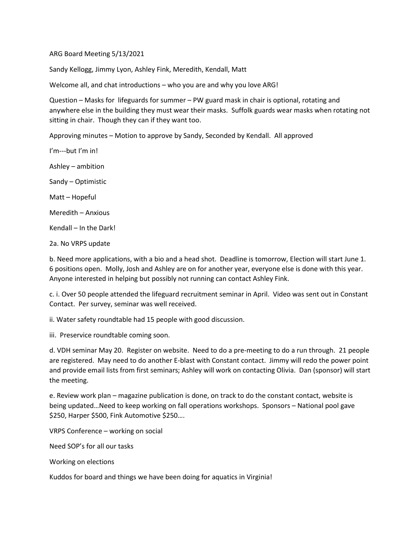ARG Board Meeting 5/13/2021

Sandy Kellogg, Jimmy Lyon, Ashley Fink, Meredith, Kendall, Matt

Welcome all, and chat introductions – who you are and why you love ARG!

Question – Masks for lifeguards for summer – PW guard mask in chair is optional, rotating and anywhere else in the building they must wear their masks. Suffolk guards wear masks when rotating not sitting in chair. Though they can if they want too.

Approving minutes – Motion to approve by Sandy, Seconded by Kendall. All approved

I'm---but I'm in! Ashley – ambition Sandy – Optimistic Matt – Hopeful Meredith – Anxious Kendall – In the Dark! 2a. No VRPS update

b. Need more applications, with a bio and a head shot. Deadline is tomorrow, Election will start June 1. 6 positions open. Molly, Josh and Ashley are on for another year, everyone else is done with this year. Anyone interested in helping but possibly not running can contact Ashley Fink.

c. i. Over 50 people attended the lifeguard recruitment seminar in April. Video was sent out in Constant Contact. Per survey, seminar was well received.

ii. Water safety roundtable had 15 people with good discussion.

iii. Preservice roundtable coming soon.

d. VDH seminar May 20. Register on website. Need to do a pre-meeting to do a run through. 21 people are registered. May need to do another E-blast with Constant contact. Jimmy will redo the power point and provide email lists from first seminars; Ashley will work on contacting Olivia. Dan (sponsor) will start the meeting.

e. Review work plan – magazine publication is done, on track to do the constant contact, website is being updated…Need to keep working on fall operations workshops. Sponsors – National pool gave \$250, Harper \$500, Fink Automotive \$250….

VRPS Conference – working on social

Need SOP's for all our tasks

Working on elections

Kuddos for board and things we have been doing for aquatics in Virginia!